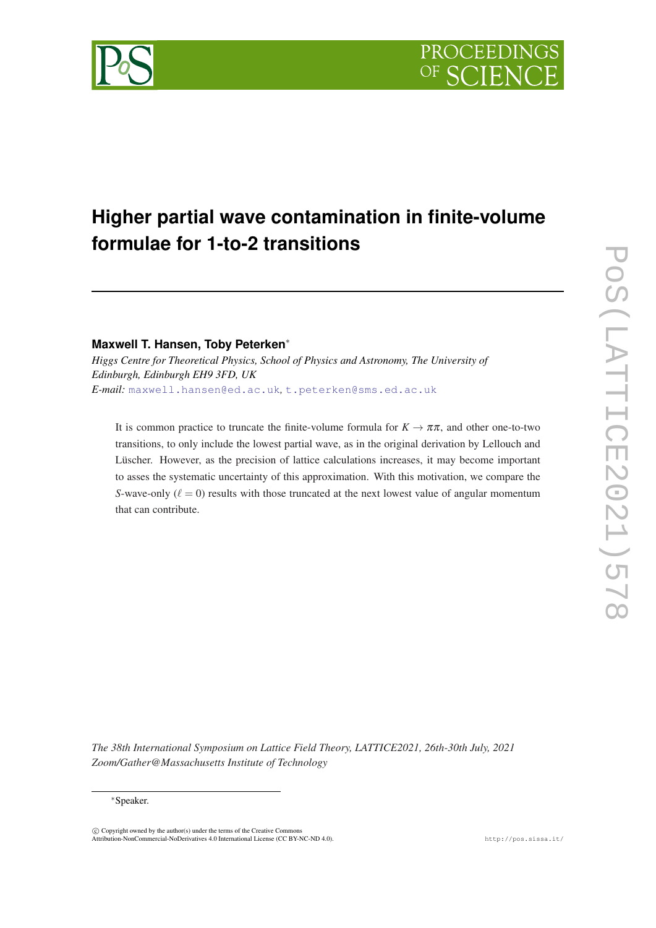# **Higher partial wave contamination in finite-volume formulae for 1-to-2 transitions**

# **Maxwell T. Hansen, Toby Peterken**∗

*Higgs Centre for Theoretical Physics, School of Physics and Astronomy, The University of Edinburgh, Edinburgh EH9 3FD, UK E-mail:* [maxwell.hansen@ed.ac.uk](mailto:maxwell.hansen@ed.ac.uk)*,* [t.peterken@sms.ed.ac.uk](mailto:t.peterken@sms.ed.ac.uk)

It is common practice to truncate the finite-volume formula for  $K \to \pi \pi$ , and other one-to-two transitions, to only include the lowest partial wave, as in the original derivation by Lellouch and Lüscher. However, as the precision of lattice calculations increases, it may become important to asses the systematic uncertainty of this approximation. With this motivation, we compare the *S*-wave-only  $(\ell = 0)$  results with those truncated at the next lowest value of angular momentum that can contribute.

*The 38th International Symposium on Lattice Field Theory, LATTICE2021, 26th-30th July, 2021 Zoom/Gather@Massachusetts Institute of Technology*

<sup>∗</sup>Speaker.

 $\overline{c}$  Copyright owned by the author(s) under the terms of the Creative Common Attribution-NonCommercial-NoDerivatives 4.0 International License (CC BY-NC-ND 4.0). http://pos.sissa.it/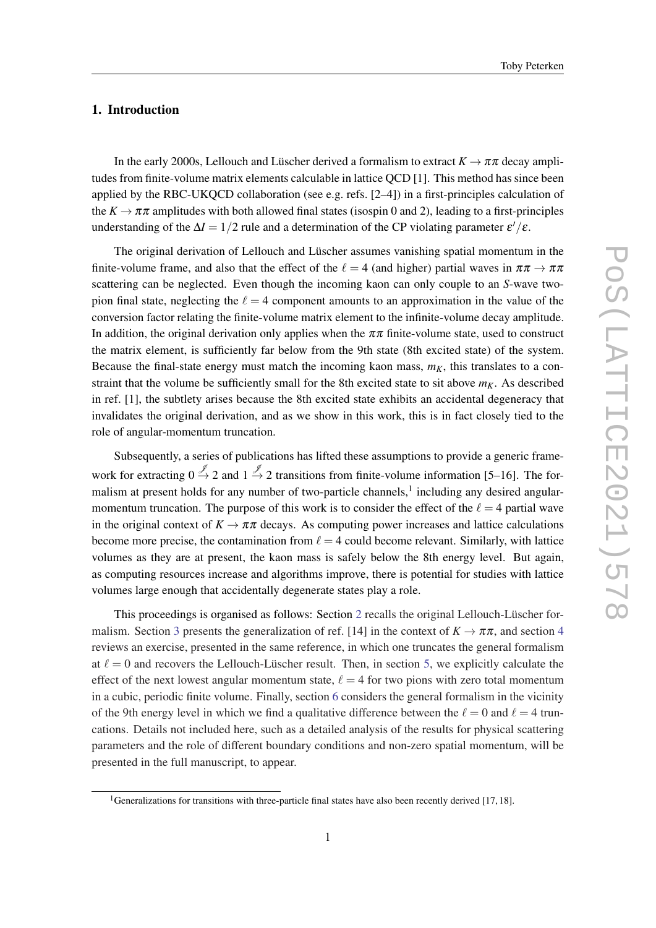### 1. Introduction

In the early 2000s, Lellouch and Lüscher derived a formalism to extract  $K \to \pi \pi$  decay amplitudes from finite-volume matrix elements calculable in lattice QCD [1]. This method has since been applied by the RBC-UKQCD collaboration (see e.g. refs. [2–4]) in a first-principles calculation of the  $K \to \pi \pi$  amplitudes with both allowed final states (isospin 0 and 2), leading to a first-principles understanding of the  $\Delta I = 1/2$  rule and a determination of the CP violating parameter  $\varepsilon'/\varepsilon$ .

The original derivation of Lellouch and Lüscher assumes vanishing spatial momentum in the finite-volume frame, and also that the effect of the  $\ell = 4$  (and higher) partial waves in  $\pi \pi \to \pi \pi$ scattering can be neglected. Even though the incoming kaon can only couple to an *S*-wave twopion final state, neglecting the  $\ell = 4$  component amounts to an approximation in the value of the conversion factor relating the finite-volume matrix element to the infinite-volume decay amplitude. In addition, the original derivation only applies when the  $\pi\pi$  finite-volume state, used to construct the matrix element, is sufficiently far below from the 9th state (8th excited state) of the system. Because the final-state energy must match the incoming kaon mass,  $m<sub>K</sub>$ , this translates to a constraint that the volume be sufficiently small for the 8th excited state to sit above  $m<sub>K</sub>$ . As described in ref. [1], the subtlety arises because the 8th excited state exhibits an accidental degeneracy that invalidates the original derivation, and as we show in this work, this is in fact closely tied to the role of angular-momentum truncation.

Subsequently, a series of publications has lifted these assumptions to provide a generic framework for extracting  $0 \stackrel{\mathscr{J}}{\rightarrow} 2$  and  $1 \stackrel{\mathscr{J}}{\rightarrow} 2$  transitions from finite-volume information [5–16]. The formalism at present holds for any number of two-particle channels,<sup>1</sup> including any desired angularmomentum truncation. The purpose of this work is to consider the effect of the  $\ell = 4$  partial wave in the original context of  $K \to \pi \pi$  decays. As computing power increases and lattice calculations become more precise, the contamination from  $\ell = 4$  could become relevant. Similarly, with lattice volumes as they are at present, the kaon mass is safely below the 8th energy level. But again, as computing resources increase and algorithms improve, there is potential for studies with lattice volumes large enough that accidentally degenerate states play a role.

This proceedings is organised as follows: Section [2](#page-2-0) recalls the original Lellouch-Lüscher for-malism. Section [3](#page-3-0) presents the generalization of ref. [1[4](#page-3-0)] in the context of  $K \to \pi \pi$ , and section 4 reviews an exercise, presented in the same reference, in which one truncates the general formalism at  $\ell = 0$  and recovers the Lellouch-Lüscher result. Then, in section [5](#page-4-0), we explicitly calculate the effect of the next lowest angular momentum state,  $\ell = 4$  for two pions with zero total momentum in a cubic, periodic finite volume. Finally, section [6](#page-5-0) considers the general formalism in the vicinity of the 9th energy level in which we find a qualitative difference between the  $\ell = 0$  and  $\ell = 4$  truncations. Details not included here, such as a detailed analysis of the results for physical scattering parameters and the role of different boundary conditions and non-zero spatial momentum, will be presented in the full manuscript, to appear.

<sup>&</sup>lt;sup>1</sup>Generalizations for transitions with three-particle final states have also been recently derived  $[17, 18]$ .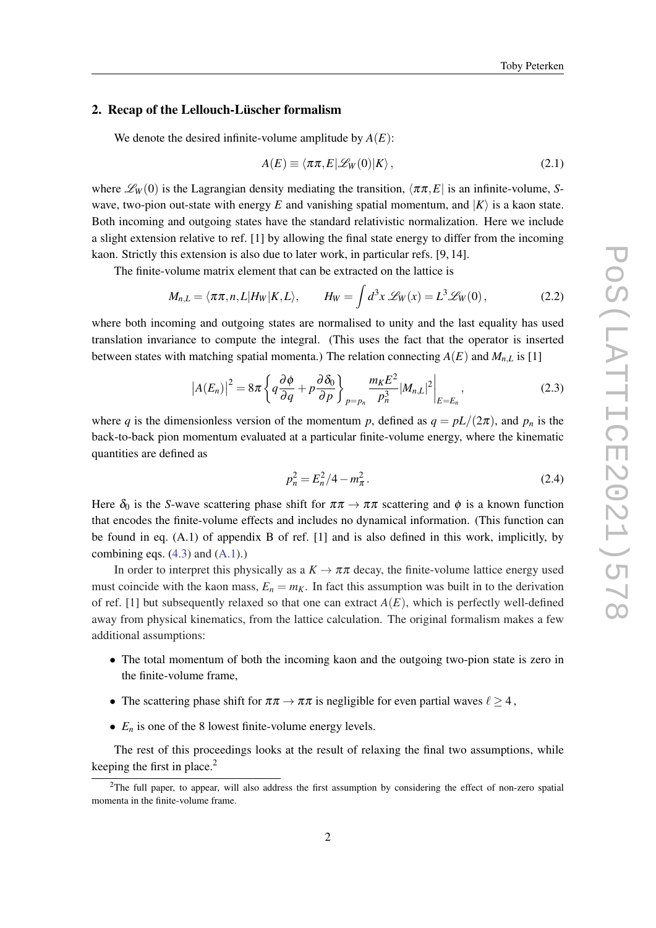#### <span id="page-2-0"></span>2. Recap of the Lellouch-Lüscher formalism

We denote the desired infinite-volume amplitude by  $A(E)$ :

$$
A(E) \equiv \langle \pi \pi, E | \mathcal{L}_W(0) | K \rangle, \qquad (2.1)
$$

where  $\mathcal{L}_W(0)$  is the Lagrangian density mediating the transition,  $\langle \pi \pi, E |$  is an infinite-volume, *S*wave, two-pion out-state with energy E and vanishing spatial momentum, and  $|K\rangle$  is a kaon state. Both incoming and outgoing states have the standard relativistic normalization. Here we include a slight extension relative to ref. [1] by allowing the final state energy to differ from the incoming kaon. Strictly this extension is also due to later work, in particular refs. [9, 14].

The finite-volume matrix element that can be extracted on the lattice is

$$
M_{n,L} = \langle \pi \pi, n, L | H_W | K, L \rangle, \qquad H_W = \int d^3x \, \mathscr{L}_W(x) = L^3 \mathscr{L}_W(0), \tag{2.2}
$$

where both incoming and outgoing states are normalised to unity and the last equality has used translation invariance to compute the integral. (This uses the fact that the operator is inserted between states with matching spatial momenta.) The relation connecting  $A(E)$  and  $M_{n,L}$  is [1]

$$
\left|A(E_n)\right|^2 = 8\pi \left\{ q\frac{\partial \phi}{\partial q} + p\frac{\partial \delta_0}{\partial p} \right\}_{p=p_n} \frac{m_K E^2}{p_n^3} |M_{n,L}|^2 \bigg|_{E=E_n},\tag{2.3}
$$

where *q* is the dimensionless version of the momentum *p*, defined as  $q = pL/(2\pi)$ , and  $p_n$  is the back-to-back pion momentum evaluated at a particular finite-volume energy, where the kinematic quantities are defined as

$$
p_n^2 = E_n^2/4 - m_\pi^2. \tag{2.4}
$$

Here  $\delta_0$  is the *S*-wave scattering phase shift for  $\pi\pi \to \pi\pi$  scattering and  $\phi$  is a known function that encodes the finite-volume effects and includes no dynamical information. (This function can be found in eq. (A.1) of appendix B of ref. [1] and is also defined in this work, implicitly, by combining eqs.  $(4.3)$  and  $(A.1)$ .)

In order to interpret this physically as a  $K \to \pi \pi$  decay, the finite-volume lattice energy used must coincide with the kaon mass,  $E_n = m_K$ . In fact this assumption was built in to the derivation of ref. [1] but subsequently relaxed so that one can extract  $A(E)$ , which is perfectly well-defined away from physical kinematics, from the lattice calculation. The original formalism makes a few additional assumptions:

- The total momentum of both the incoming kaon and the outgoing two-pion state is zero in the finite-volume frame,
- The scattering phase shift for  $\pi \pi \to \pi \pi$  is negligible for even partial waves  $\ell \geq 4$ ,
- $E_n$  is one of the 8 lowest finite-volume energy levels.

The rest of this proceedings looks at the result of relaxing the final two assumptions, while keeping the first in place. $2$ 

<sup>2</sup>The full paper, to appear, will also address the first assumption by considering the effect of non-zero spatial momenta in the finite-volume frame.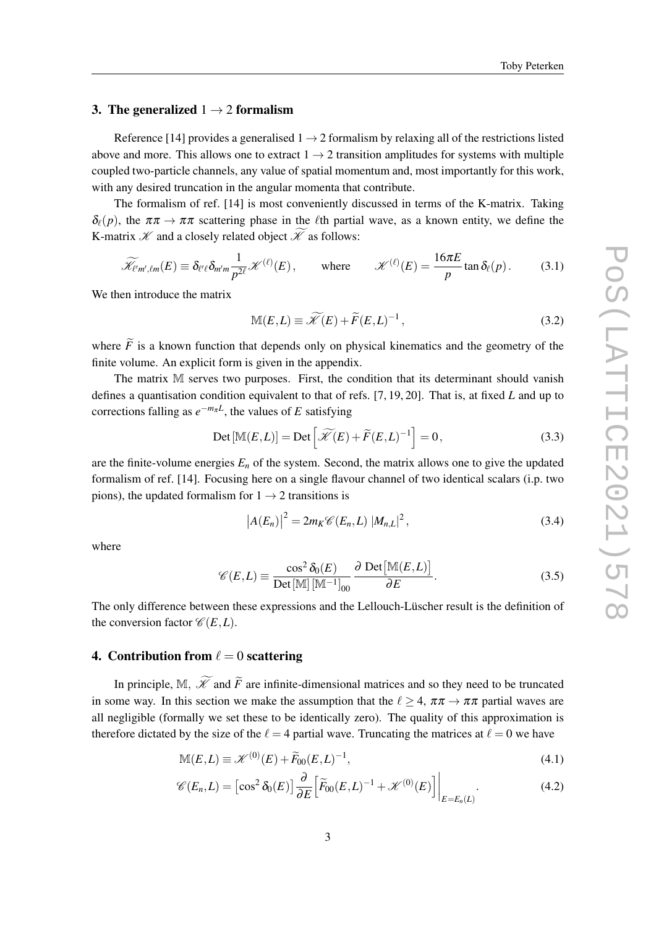## <span id="page-3-0"></span>3. The generalized  $1 \rightarrow 2$  formalism

Reference [14] provides a generalised  $1 \rightarrow 2$  formalism by relaxing all of the restrictions listed above and more. This allows one to extract  $1 \rightarrow 2$  transition amplitudes for systems with multiple coupled two-particle channels, any value of spatial momentum and, most importantly for this work, with any desired truncation in the angular momenta that contribute.

The formalism of ref. [14] is most conveniently discussed in terms of the K-matrix. Taking  $\delta_{\ell}(p)$ , the  $\pi \pi \to \pi \pi$  scattering phase in the  $\ell$ th partial wave, as a known entity, we define the K-matrix  $\mathscr K$  and a closely related object  $\widetilde{\mathscr K}$  as follows:

$$
\widetilde{\mathcal{H}}_{\ell'm',\ell m}(E) \equiv \delta_{\ell'\ell} \delta_{m'm} \frac{1}{p^{2\ell}} \mathcal{K}^{(\ell)}(E), \qquad \text{where} \qquad \mathcal{K}^{(\ell)}(E) = \frac{16\pi E}{p} \tan \delta_{\ell}(p). \tag{3.1}
$$

We then introduce the matrix

$$
\mathbb{M}(E,L) \equiv \widetilde{\mathcal{K}}(E) + \widetilde{F}(E,L)^{-1},\tag{3.2}
$$

where  $\tilde{F}$  is a known function that depends only on physical kinematics and the geometry of the finite volume. An explicit form is given in the appendix.

The matrix M serves two purposes. First, the condition that its determinant should vanish defines a quantisation condition equivalent to that of refs. [7, 19, 20]. That is, at fixed *L* and up to corrections falling as  $e^{-m\pi L}$ , the values of *E* satisfying

$$
\text{Det}[\mathbb{M}(E,L)] = \text{Det}\left[\widetilde{\mathcal{K}}(E) + \widetilde{F}(E,L)^{-1}\right] = 0,\tag{3.3}
$$

are the finite-volume energies  $E_n$  of the system. Second, the matrix allows one to give the updated formalism of ref. [14]. Focusing here on a single flavour channel of two identical scalars (i.p. two pions), the updated formalism for  $1 \rightarrow 2$  transitions is

$$
|A(E_n)|^2 = 2m_K \mathscr{C}(E_n, L) |M_{n,L}|^2,
$$
\n(3.4)

where

$$
\mathscr{C}(E,L) \equiv \frac{\cos^2 \delta_0(E)}{\text{Det}[\mathbb{M}][\mathbb{M}^{-1}]_{00}} \frac{\partial \text{ Det}[\mathbb{M}(E,L)]}{\partial E}.
$$
 (3.5)

The only difference between these expressions and the Lellouch-Lüscher result is the definition of the conversion factor  $\mathcal{C}(E,L)$ .

### 4. Contribution from  $\ell = 0$  scattering

In principle, M,  $\widetilde{\mathcal{K}}$  and  $\widetilde{F}$  are infinite-dimensional matrices and so they need to be truncated in some way. In this section we make the assumption that the  $\ell \geq 4$ ,  $\pi \pi \rightarrow \pi \pi$  partial waves are all negligible (formally we set these to be identically zero). The quality of this approximation is therefore dictated by the size of the  $\ell = 4$  partial wave. Truncating the matrices at  $\ell = 0$  we have

$$
\mathbb{M}(E,L) \equiv \mathcal{K}^{(0)}(E) + \widetilde{F}_{00}(E,L)^{-1},\tag{4.1}
$$

$$
\mathscr{C}(E_n, L) = \left[\cos^2 \delta_0(E)\right] \frac{\partial}{\partial E} \left[\widetilde{F}_{00}(E, L)^{-1} + \mathscr{K}^{(0)}(E)\right] \Big|_{E=E_n(L)}.
$$
\n(4.2)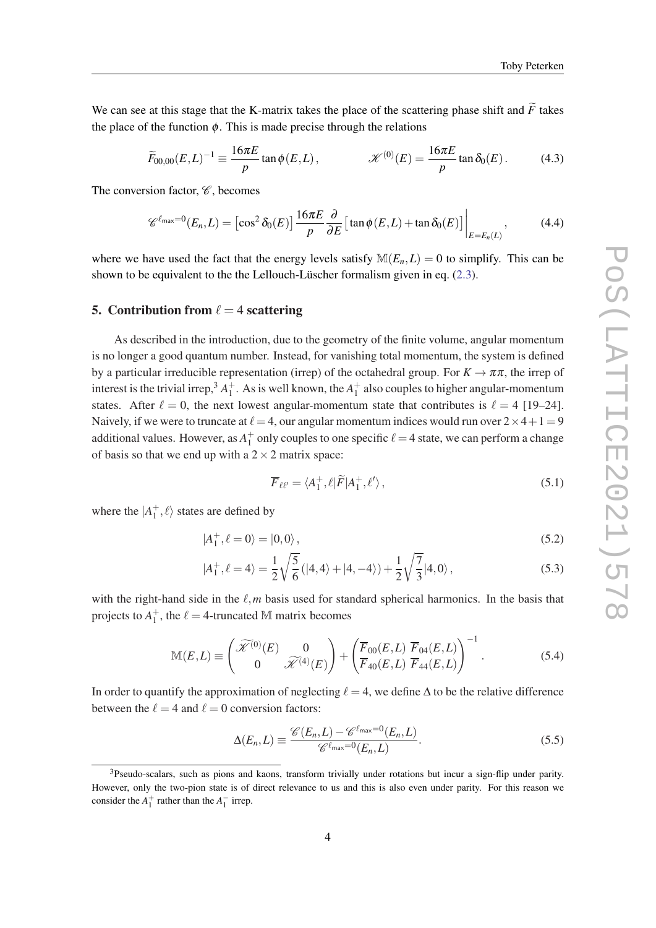<span id="page-4-0"></span>We can see at this stage that the K-matrix takes the place of the scattering phase shift and  $\tilde{F}$  takes the place of the function  $\phi$ . This is made precise through the relations

$$
\widetilde{F}_{00,00}(E,L)^{-1} \equiv \frac{16\pi E}{p} \tan \phi(E,L), \qquad \mathcal{K}^{(0)}(E) = \frac{16\pi E}{p} \tan \delta_0(E). \tag{4.3}
$$

The conversion factor,  $\mathscr{C}$ , becomes

$$
\mathscr{C}^{\ell_{\max}=0}(E_n,L) = \left[\cos^2 \delta_0(E)\right] \frac{16\pi E}{p} \frac{\partial}{\partial E} \left[\tan \phi(E,L) + \tan \delta_0(E)\right] \Big|_{E=E_n(L)},\tag{4.4}
$$

where we have used the fact that the energy levels satisfy  $M(E_n, L) = 0$  to simplify. This can be shown to be equivalent to the the Lellouch-Lüscher formalism given in eq. [\(2.3](#page-2-0)).

#### 5. Contribution from  $\ell = 4$  scattering

As described in the introduction, due to the geometry of the finite volume, angular momentum is no longer a good quantum number. Instead, for vanishing total momentum, the system is defined by a particular irreducible representation (irrep) of the octahedral group. For  $K \to \pi \pi$ , the irrep of interest is the trivial irrep,<sup>3</sup>  $A_1^+$ . As is well known, the  $A_1^+$  also couples to higher angular-momentum states. After  $\ell = 0$ , the next lowest angular-momentum state that contributes is  $\ell = 4$  [19–24]. Naively, if we were to truncate at  $\ell = 4$ , our angular momentum indices would run over  $2 \times 4 + 1 = 9$ additional values. However, as  $A_1^+$  only couples to one specific  $\ell = 4$  state, we can perform a change of basis so that we end up with a  $2 \times 2$  matrix space:

$$
\overline{F}_{\ell\ell'} = \langle A_1^+, \ell | \widetilde{F} | A_1^+, \ell' \rangle, \qquad (5.1)
$$

where the  $|A_1^+, \ell \rangle$  states are defined by

$$
|A_1^+, \ell = 0\rangle = |0, 0\rangle, \qquad (5.2)
$$

$$
|A_1^+, \ell = 4\rangle = \frac{1}{2} \sqrt{\frac{5}{6}} (|4, 4\rangle + |4, -4\rangle) + \frac{1}{2} \sqrt{\frac{7}{3}} |4, 0\rangle, \qquad (5.3)
$$

with the right-hand side in the  $\ell, m$  basis used for standard spherical harmonics. In the basis that projects to  $A_1^+$ , the  $\ell = 4$ -truncated M matrix becomes

$$
\mathbb{M}(E,L) \equiv \begin{pmatrix} \widetilde{\mathcal{K}}^{(0)}(E) & 0\\ 0 & \widetilde{\mathcal{K}}^{(4)}(E) \end{pmatrix} + \begin{pmatrix} \overline{F}_{00}(E,L) & \overline{F}_{04}(E,L) \\ \overline{F}_{40}(E,L) & \overline{F}_{44}(E,L) \end{pmatrix}^{-1}.
$$
 (5.4)

In order to quantify the approximation of neglecting  $\ell = 4$ , we define  $\Delta$  to be the relative difference between the  $\ell = 4$  and  $\ell = 0$  conversion factors:

$$
\Delta(E_n, L) \equiv \frac{\mathscr{C}(E_n, L) - \mathscr{C}^{\ell_{\text{max}}=0}(E_n, L)}{\mathscr{C}^{\ell_{\text{max}}=0}(E_n, L)}.
$$
\n(5.5)

<sup>&</sup>lt;sup>3</sup>Pseudo-scalars, such as pions and kaons, transform trivially under rotations but incur a sign-flip under parity. However, only the two-pion state is of direct relevance to us and this is also even under parity. For this reason we consider the  $A_1^+$  rather than the  $A_1^-$  irrep.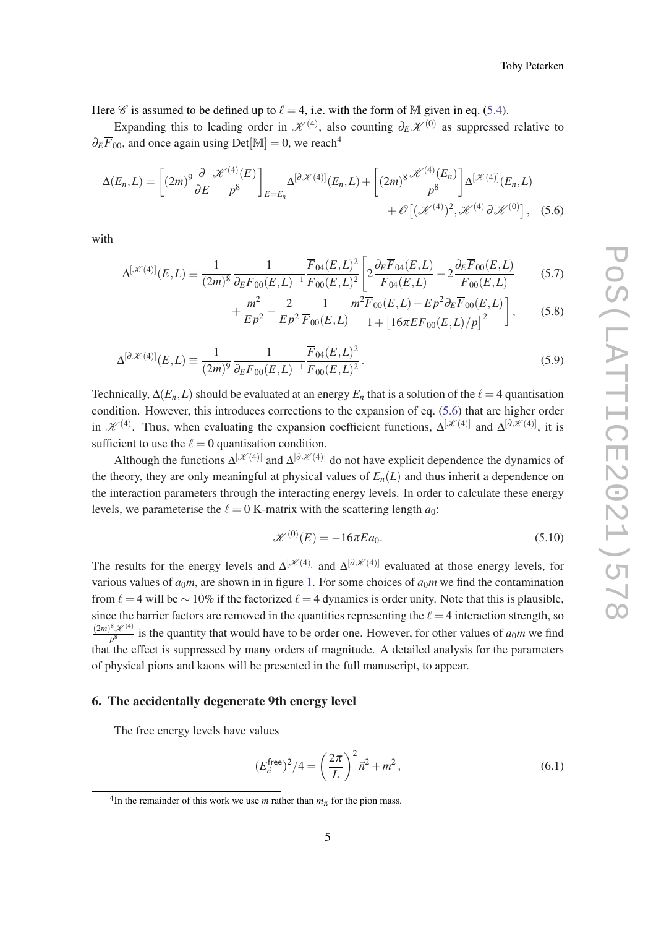<span id="page-5-0"></span>Here  $\mathscr C$  is assumed to be defined up to  $\ell = 4$ , i.e. with the form of M given in eq. [\(5.4\)](#page-4-0).

Expanding this to leading order in  $\mathscr{K}^{(4)}$ , also counting  $\partial_E \mathscr{K}^{(0)}$  as suppressed relative to  $\partial_E \overline{F}_{00}$ , and once again using Det[M] = 0, we reach<sup>4</sup>

$$
\Delta(E_n, L) = \left[ (2m)^9 \frac{\partial}{\partial E} \frac{\mathcal{K}^{(4)}(E)}{p^8} \right]_{E=E_n} \Delta^{[\partial \mathcal{K}(4)]}(E_n, L) + \left[ (2m)^8 \frac{\mathcal{K}^{(4)}(E_n)}{p^8} \right] \Delta^{[\mathcal{K}(4)]}(E_n, L) + \mathcal{O}\left[ (\mathcal{K}^{(4)})^2, \mathcal{K}^{(4)} \partial \mathcal{K}^{(0)} \right], \quad (5.6)
$$

with

$$
\Delta^{[\mathcal{K}(4)]}(E,L) \equiv \frac{1}{(2m)^8} \frac{1}{\partial_E \overline{F}_{00}(E,L)^{-1}} \frac{\overline{F}_{04}(E,L)^2}{\overline{F}_{00}(E,L)^2} \left[ 2 \frac{\partial_E \overline{F}_{04}(E,L)}{\overline{F}_{04}(E,L)} - 2 \frac{\partial_E \overline{F}_{00}(E,L)}{\overline{F}_{00}(E,L)} \right] \tag{5.7}
$$

$$
+\frac{m^2}{Ep^2} - \frac{2}{Ep^2} \frac{1}{\overline{F}_{00}(E,L)} \frac{m^2 \overline{F}_{00}(E,L) - Ep^2 \partial_E \overline{F}_{00}(E,L)}{1 + \left[16\pi E \overline{F}_{00}(E,L)/p\right]^2},
$$
(5.8)

$$
\Delta^{[\partial \mathcal{K}(4)]}(E,L) \equiv \frac{1}{(2m)^9} \frac{1}{\partial_E \overline{F}_{00}(E,L)^{-1}} \frac{\overline{F}_{04}(E,L)^2}{\overline{F}_{00}(E,L)^2}.
$$
\n(5.9)

Technically,  $\Delta(E_n, L)$  should be evaluated at an energy  $E_n$  that is a solution of the  $\ell = 4$  quantisation condition. However, this introduces corrections to the expansion of eq. (5.6) that are higher order in  $\mathscr{K}^{(4)}$ . Thus, when evaluating the expansion coefficient functions,  $\Delta^{[\mathscr{K}(4)]}$  and  $\Delta^{[\partial \mathscr{K}(4)]}$ , it is sufficient to use the  $\ell = 0$  quantisation condition.

Although the functions  $\Delta^{[\mathcal{K}(4)]}$  and  $\Delta^{[\partial \mathcal{K}(4)]}$  do not have explicit dependence the dynamics of the theory, they are only meaningful at physical values of  $E_n(L)$  and thus inherit a dependence on the interaction parameters through the interacting energy levels. In order to calculate these energy levels, we parameterise the  $\ell = 0$  K-matrix with the scattering length  $a_0$ :

$$
\mathcal{K}^{(0)}(E) = -16\pi E a_0.
$$
\n
$$
(5.10)
$$

The results for the energy levels and  $\Delta^{[\mathcal{K}(4)]}$  and  $\Delta^{[\partial \mathcal{K}(4)]}$  evaluated at those energy levels, for various values of  $a_0m$ , are shown in in figure [1.](#page-6-0) For some choices of  $a_0m$  we find the contamination from  $\ell = 4$  will be ∼ 10% if the factorized  $\ell = 4$  dynamics is order unity. Note that this is plausible, since the barrier factors are removed in the quantities representing the  $\ell = 4$  interaction strength, so  $(2m)^8 \mathcal{K}^{(4)}$  $\frac{p^8}{p^8}$  is the quantity that would have to be order one. However, for other values of *a*<sub>0</sub>*m* we find that the effect is suppressed by many orders of magnitude. A detailed analysis for the parameters of physical pions and kaons will be presented in the full manuscript, to appear.

#### 6. The accidentally degenerate 9th energy level

The free energy levels have values

$$
(E_{\vec{n}}^{\text{free}})^2/4 = \left(\frac{2\pi}{L}\right)^2 \vec{n}^2 + m^2, \qquad (6.1)
$$

<sup>&</sup>lt;sup>4</sup>In the remainder of this work we use *m* rather than  $m_\pi$  for the pion mass.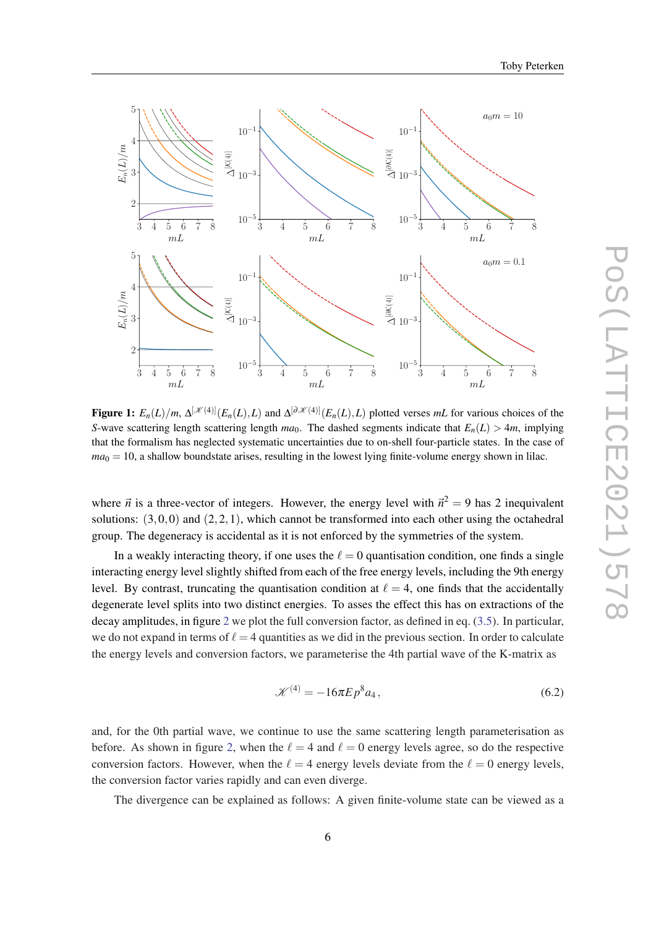

<span id="page-6-0"></span>

Figure 1:  $E_n(L)/m$ ,  $\Delta^{[\mathcal{K}(4)]}(E_n(L), L)$  and  $\Delta^{[\partial \mathcal{K}(4)]}(E_n(L), L)$  plotted verses *mL* for various choices of the *S*-wave scattering length scattering length  $ma_0$ . The dashed segments indicate that  $E_n(L) > 4m$ , implying that the formalism has neglected systematic uncertainties due to on-shell four-particle states. In the case of  $ma<sub>0</sub> = 10$ , a shallow boundstate arises, resulting in the lowest lying finite-volume energy shown in lilac.

where  $\vec{n}$  is a three-vector of integers. However, the energy level with  $\vec{n}^2 = 9$  has 2 inequivalent solutions:  $(3,0,0)$  and  $(2,2,1)$ , which cannot be transformed into each other using the octahedral group. The degeneracy is accidental as it is not enforced by the symmetries of the system.

In a weakly interacting theory, if one uses the  $\ell = 0$  quantisation condition, one finds a single interacting energy level slightly shifted from each of the free energy levels, including the 9th energy level. By contrast, truncating the quantisation condition at  $\ell = 4$ , one finds that the accidentally degenerate level splits into two distinct energies. To asses the effect this has on extractions of the decay amplitudes, in figure [2](#page-7-0) we plot the full conversion factor, as defined in eq. [\(3.5\)](#page-3-0). In particular, we do not expand in terms of  $\ell = 4$  quantities as we did in the previous section. In order to calculate the energy levels and conversion factors, we parameterise the 4th partial wave of the K-matrix as

$$
\mathcal{K}^{(4)} = -16\pi E p^8 a_4, \qquad (6.2)
$$

and, for the 0th partial wave, we continue to use the same scattering length parameterisation as before. As shown in figure [2](#page-7-0), when the  $\ell = 4$  and  $\ell = 0$  energy levels agree, so do the respective conversion factors. However, when the  $\ell = 4$  energy levels deviate from the  $\ell = 0$  energy levels, the conversion factor varies rapidly and can even diverge.

The divergence can be explained as follows: A given finite-volume state can be viewed as a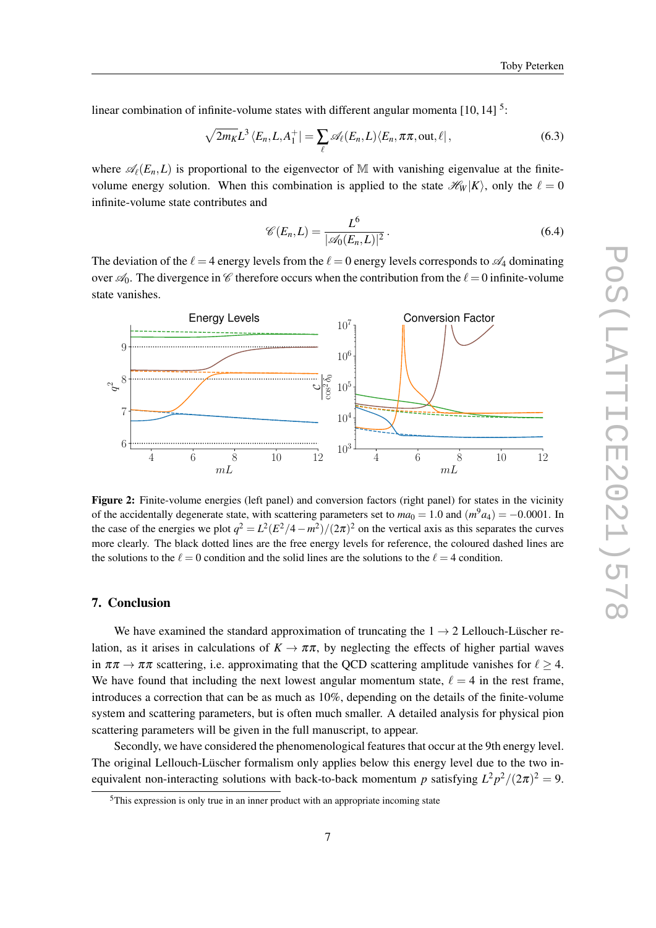<span id="page-7-0"></span>linear combination of infinite-volume states with different angular momenta  $[10, 14]$ <sup>5</sup>:

$$
\sqrt{2m_K}L^3\left\langle E_n, L, A_1^+\right| = \sum_{\ell} \mathscr{A}_{\ell}(E_n, L)\left\langle E_n, \pi\pi, \text{out}, \ell\right|,\tag{6.3}
$$

where  $\mathcal{A}_{\ell}(E_n,L)$  is proportional to the eigenvector of M with vanishing eigenvalue at the finitevolume energy solution. When this combination is applied to the state  $\mathcal{H}_W |K\rangle$ , only the  $\ell = 0$ infinite-volume state contributes and

$$
\mathscr{C}(E_n, L) = \frac{L^6}{|\mathscr{A}_0(E_n, L)|^2}.
$$
\n(6.4)

The deviation of the  $\ell = 4$  energy levels from the  $\ell = 0$  energy levels corresponds to  $\mathscr{A}_4$  dominating over  $\mathcal{A}_0$ . The divergence in C therefore occurs when the contribution from the  $\ell = 0$  infinite-volume state vanishes.



Figure 2: Finite-volume energies (left panel) and conversion factors (right panel) for states in the vicinity of the accidentally degenerate state, with scattering parameters set to  $ma_0 = 1.0$  and  $(m^9a_4) = -0.0001$ . In the case of the energies we plot  $q^2 = L^2(E^2/4 - m^2)/(2\pi)^2$  on the vertical axis as this separates the curves more clearly. The black dotted lines are the free energy levels for reference, the coloured dashed lines are the solutions to the  $\ell = 0$  condition and the solid lines are the solutions to the  $\ell = 4$  condition.

### 7. Conclusion

We have examined the standard approximation of truncating the  $1 \rightarrow 2$  Lellouch-Lüscher relation, as it arises in calculations of  $K \to \pi \pi$ , by neglecting the effects of higher partial waves in  $\pi \pi \to \pi \pi$  scattering, i.e. approximating that the QCD scattering amplitude vanishes for  $\ell > 4$ . We have found that including the next lowest angular momentum state,  $\ell = 4$  in the rest frame, introduces a correction that can be as much as 10%, depending on the details of the finite-volume system and scattering parameters, but is often much smaller. A detailed analysis for physical pion scattering parameters will be given in the full manuscript, to appear.

Secondly, we have considered the phenomenological features that occur at the 9th energy level. The original Lellouch-Lüscher formalism only applies below this energy level due to the two inequivalent non-interacting solutions with back-to-back momentum *p* satisfying  $L^2 p^2 / (2\pi)^2 = 9$ .

<sup>5</sup>This expression is only true in an inner product with an appropriate incoming state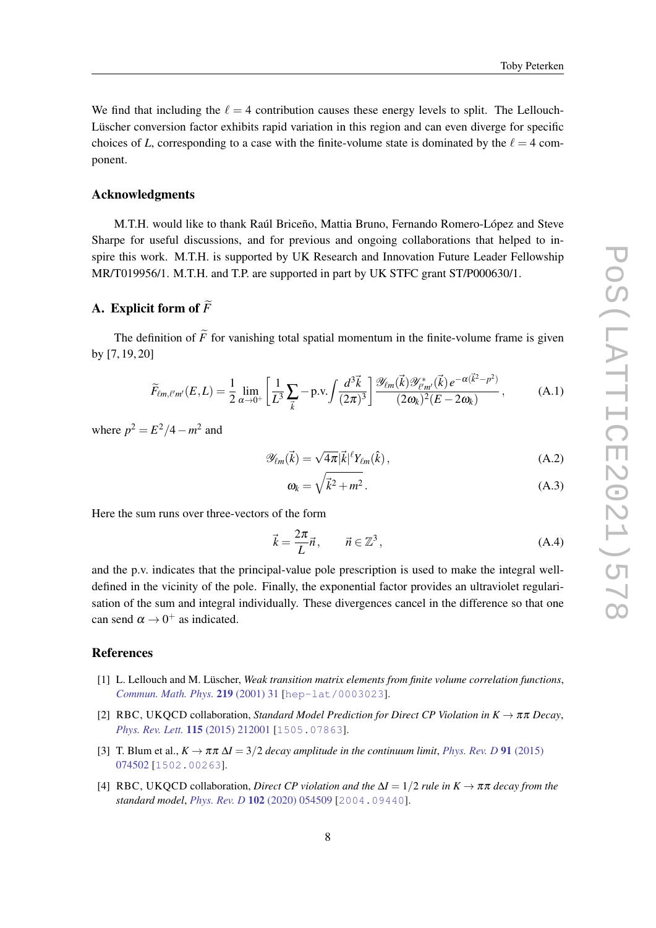<span id="page-8-0"></span>We find that including the  $\ell = 4$  contribution causes these energy levels to split. The Lellouch-Lüscher conversion factor exhibits rapid variation in this region and can even diverge for specific choices of *L*, corresponding to a case with the finite-volume state is dominated by the  $\ell = 4$  component.

#### Acknowledgments

M.T.H. would like to thank Raúl Briceño, Mattia Bruno, Fernando Romero-López and Steve Sharpe for useful discussions, and for previous and ongoing collaborations that helped to inspire this work. M.T.H. is supported by UK Research and Innovation Future Leader Fellowship MR/T019956/1. M.T.H. and T.P. are supported in part by UK STFC grant ST/P000630/1.

# A. Explicit form of  $\widetilde{F}$

The definition of  $\tilde{F}$  for vanishing total spatial momentum in the finite-volume frame is given by [7, 19, 20]

$$
\widetilde{F}_{\ell m,\ell'm'}(E,L) = \frac{1}{2} \lim_{\alpha \to 0^+} \left[ \frac{1}{L^3} \sum_{\vec{k}} -\text{p.v.} \int \frac{d^3 \vec{k}}{(2\pi)^3} \right] \frac{\mathscr{Y}_{\ell m}(\vec{k}) \mathscr{Y}_{\ell'm'}^*(\vec{k}) e^{-\alpha(\vec{k}^2 - p^2)}}{(2\omega_k)^2 (E - 2\omega_k)},\tag{A.1}
$$

where  $p^2 = E^2/4 - m^2$  and

$$
\mathscr{Y}_{\ell m}(\vec{k}) = \sqrt{4\pi} |\vec{k}|^{\ell} Y_{\ell m}(\hat{k}), \qquad (A.2)
$$

$$
\omega_k = \sqrt{\vec{k}^2 + m^2} \,. \tag{A.3}
$$

Here the sum runs over three-vectors of the form

$$
\vec{k} = \frac{2\pi}{L}\vec{n}, \qquad \vec{n} \in \mathbb{Z}^3,
$$
\n(A.4)

and the p.v. indicates that the principal-value pole prescription is used to make the integral welldefined in the vicinity of the pole. Finally, the exponential factor provides an ultraviolet regularisation of the sum and integral individually. These divergences cancel in the difference so that one can send  $\alpha \rightarrow 0^+$  as indicated.

#### References

- [1] L. Lellouch and M. Lüscher, *Weak transition matrix elements from finite volume correlation functions*, *[Commun. Math. Phys.](https://doi.org/10.1007/s002200100410)* 219 (2001) 31 [[hep-lat/0003023](https://arxiv.org/abs/hep-lat/0003023)].
- [2] RBC, UKQCD collaboration, *Standard Model Prediction for Direct CP Violation in K*  $\rightarrow \pi \pi$  *Decay*, *[Phys. Rev. Lett.](https://doi.org/10.1103/PhysRevLett.115.212001)* 115 (2015) 212001 [[1505.07863](https://arxiv.org/abs/1505.07863)].
- [3] T. Blum et al.,  $K \to \pi \pi \Delta I = 3/2$  *decay amplitude in the continuum limit, [Phys. Rev. D](https://doi.org/10.1103/PhysRevD.91.074502)* 91 (2015) [074502](https://doi.org/10.1103/PhysRevD.91.074502) [[1502.00263](https://arxiv.org/abs/1502.00263)].
- [4] RBC, UKQCD collaboration, *Direct CP violation and the* ∆*I* = 1/2 *rule in K* → ππ *decay from the standard model*, *Phys. Rev. D* 102 [\(2020\) 054509](https://doi.org/10.1103/PhysRevD.102.054509) [[2004.09440](https://arxiv.org/abs/2004.09440)].